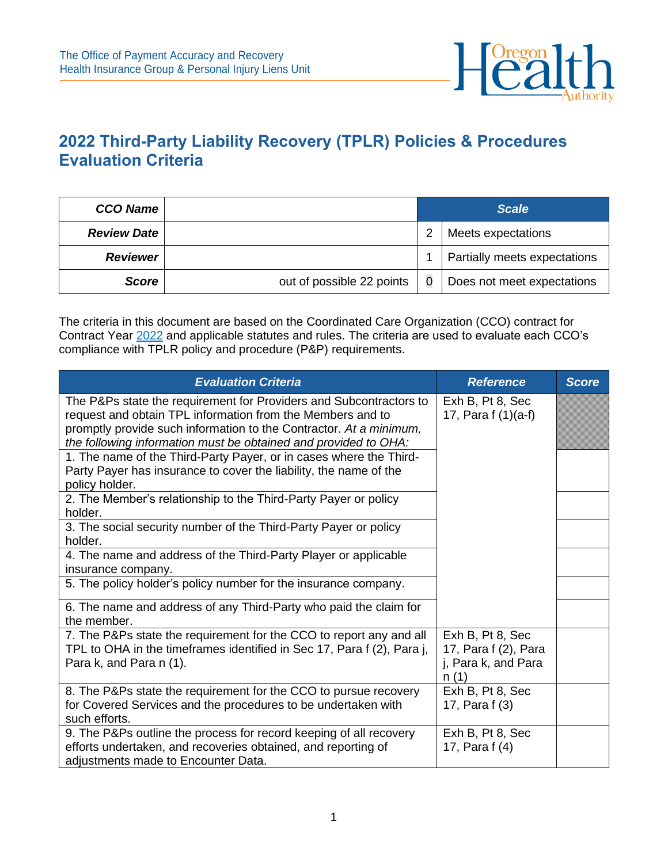

## **2022 Third-Party Liability Recovery (TPLR) Policies & Procedures Evaluation Criteria**

| <b>CCO Name</b>    |                           | <b>Scale</b> |                              |  |
|--------------------|---------------------------|--------------|------------------------------|--|
| <b>Review Date</b> |                           | っ            | Meets expectations           |  |
| <b>Reviewer</b>    |                           |              | Partially meets expectations |  |
| <b>Score</b>       | out of possible 22 points |              | Does not meet expectations   |  |

The criteria in this document are based on the Coordinated Care Organization (CCO) contract for Contract Year [2022](https://www.oregon.gov/oha/HSD/OHP/Documents/2022-CCO-Contract-Template.pdf) and applicable statutes and rules. The criteria are used to evaluate each CCO's compliance with TPLR policy and procedure (P&P) requirements.

| <b>Evaluation Criteria</b>                                                                                                                                                                                                                                                                                                                                                                                                             | <b>Reference</b>                                                        | <b>Score</b> |
|----------------------------------------------------------------------------------------------------------------------------------------------------------------------------------------------------------------------------------------------------------------------------------------------------------------------------------------------------------------------------------------------------------------------------------------|-------------------------------------------------------------------------|--------------|
| The P&Ps state the requirement for Providers and Subcontractors to<br>request and obtain TPL information from the Members and to<br>promptly provide such information to the Contractor. At a minimum,<br>the following information must be obtained and provided to OHA:<br>1. The name of the Third-Party Payer, or in cases where the Third-<br>Party Payer has insurance to cover the liability, the name of the<br>policy holder. | Exh B, Pt 8, Sec<br>17, Para f (1)(a-f)                                 |              |
| 2. The Member's relationship to the Third-Party Payer or policy                                                                                                                                                                                                                                                                                                                                                                        |                                                                         |              |
| holder.                                                                                                                                                                                                                                                                                                                                                                                                                                |                                                                         |              |
| 3. The social security number of the Third-Party Payer or policy<br>holder.                                                                                                                                                                                                                                                                                                                                                            |                                                                         |              |
| 4. The name and address of the Third-Party Player or applicable<br>insurance company.                                                                                                                                                                                                                                                                                                                                                  |                                                                         |              |
| 5. The policy holder's policy number for the insurance company.                                                                                                                                                                                                                                                                                                                                                                        |                                                                         |              |
| 6. The name and address of any Third-Party who paid the claim for<br>the member.                                                                                                                                                                                                                                                                                                                                                       |                                                                         |              |
| 7. The P&Ps state the requirement for the CCO to report any and all<br>TPL to OHA in the timeframes identified in Sec 17, Para f (2), Para j,<br>Para k, and Para n (1).                                                                                                                                                                                                                                                               | Exh B, Pt 8, Sec<br>17, Para f (2), Para<br>j, Para k, and Para<br>n(1) |              |
| 8. The P&Ps state the requirement for the CCO to pursue recovery<br>for Covered Services and the procedures to be undertaken with<br>such efforts.                                                                                                                                                                                                                                                                                     | Exh B, Pt 8, Sec<br>17, Para f (3)                                      |              |
| 9. The P&Ps outline the process for record keeping of all recovery<br>efforts undertaken, and recoveries obtained, and reporting of<br>adjustments made to Encounter Data.                                                                                                                                                                                                                                                             | Exh B, Pt 8, Sec<br>17, Para f (4)                                      |              |